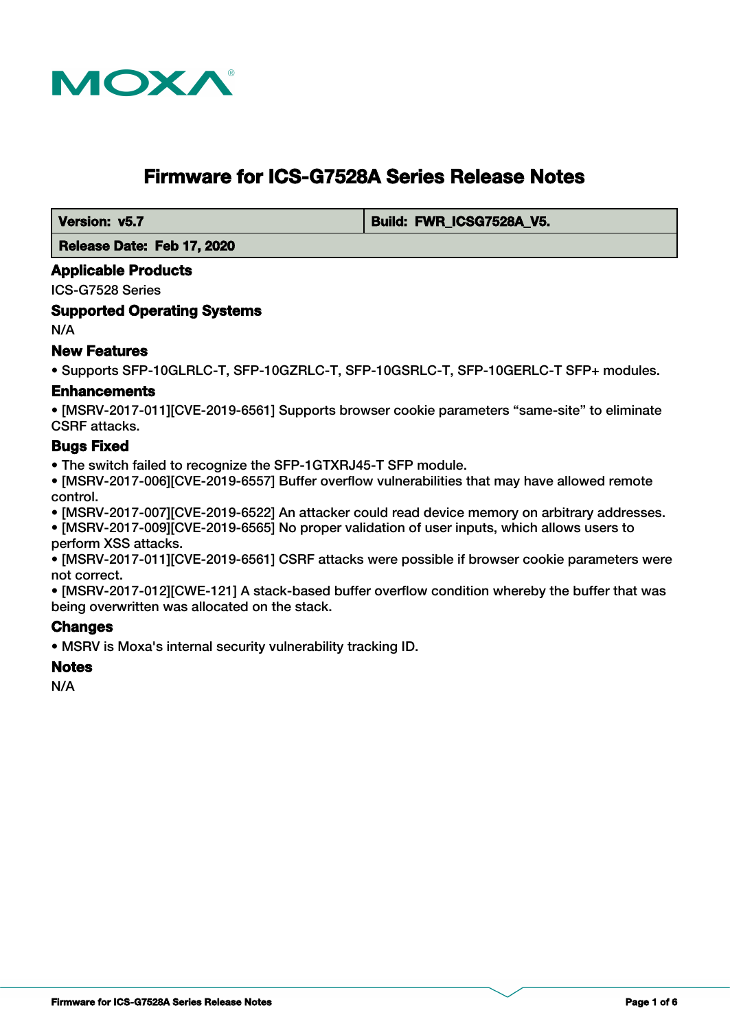

# **Firmware for ICS-G7528A Series Release Notes**

 **Version: v5.7 Build: FWR\_ICSG7528A\_V5.** 

 **Release Date: Feb 17, 2020**

#### **Applicable Products**

ICS-G7528 Series

#### **Supported Operating Systems**

N/A

## **New Features**

• Supports SFP-10GLRLC-T, SFP-10GZRLC-T, SFP-10GSRLC-T, SFP-10GERLC-T SFP+ modules.

#### **Enhancements**

• [MSRV-2017-011][CVE-2019-6561] Supports browser cookie parameters "same-site" to eliminate CSRF attacks.

#### **Bugs Fixed**

• The switch failed to recognize the SFP-1GTXRJ45-T SFP module.

• [MSRV-2017-006][CVE-2019-6557] Buffer overflow vulnerabilities that may have allowed remote control.

• [MSRV-2017-007][CVE-2019-6522] An attacker could read device memory on arbitrary addresses.

• [MSRV-2017-009][CVE-2019-6565] No proper validation of user inputs, which allows users to perform XSS attacks.

• [MSRV-2017-011][CVE-2019-6561] CSRF attacks were possible if browser cookie parameters were not correct.

• [MSRV-2017-012][CWE-121] A stack-based buffer overflow condition whereby the buffer that was being overwritten was allocated on the stack.

## **Changes**

• MSRV is Moxa's internal security vulnerability tracking ID.

#### **Notes**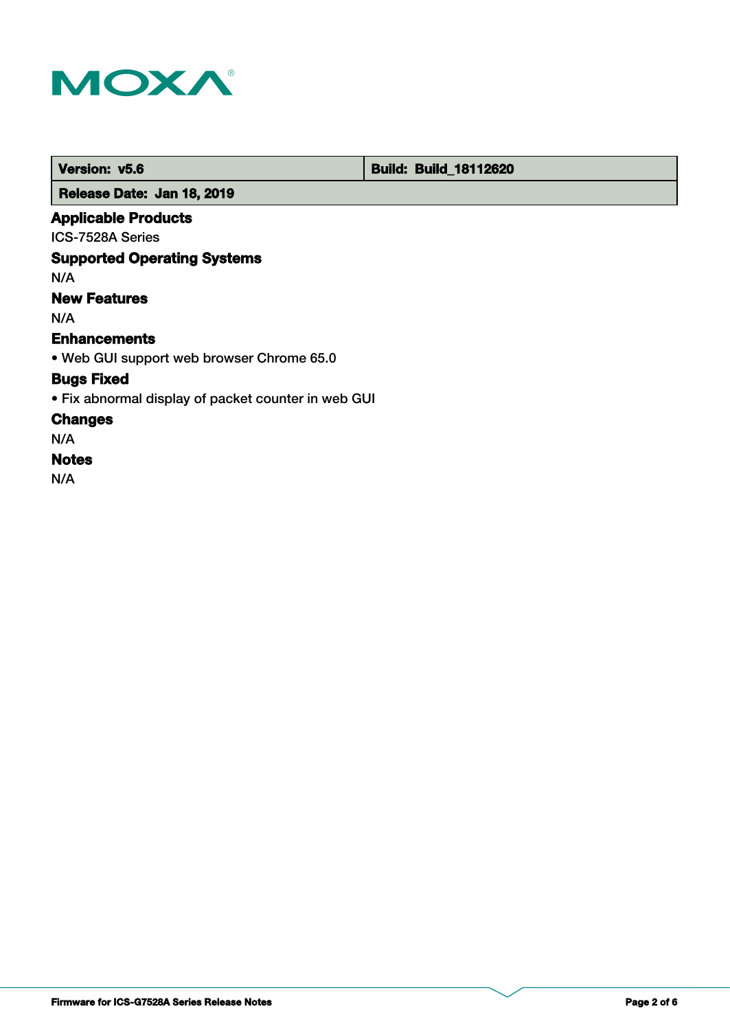

 **Version: v5.6 Build: Build: Build: Build: 18112620** 

 **Release Date: Jan 18, 2019**

## **Applicable Products**

ICS-7528A Series

## **Supported Operating Systems**

N/A

## **New Features**

N/A

## **Enhancements**

• Web GUI support web browser Chrome 65.0

## **Bugs Fixed**

• Fix abnormal display of packet counter in web GUI

## **Changes**

N/A

## **Notes**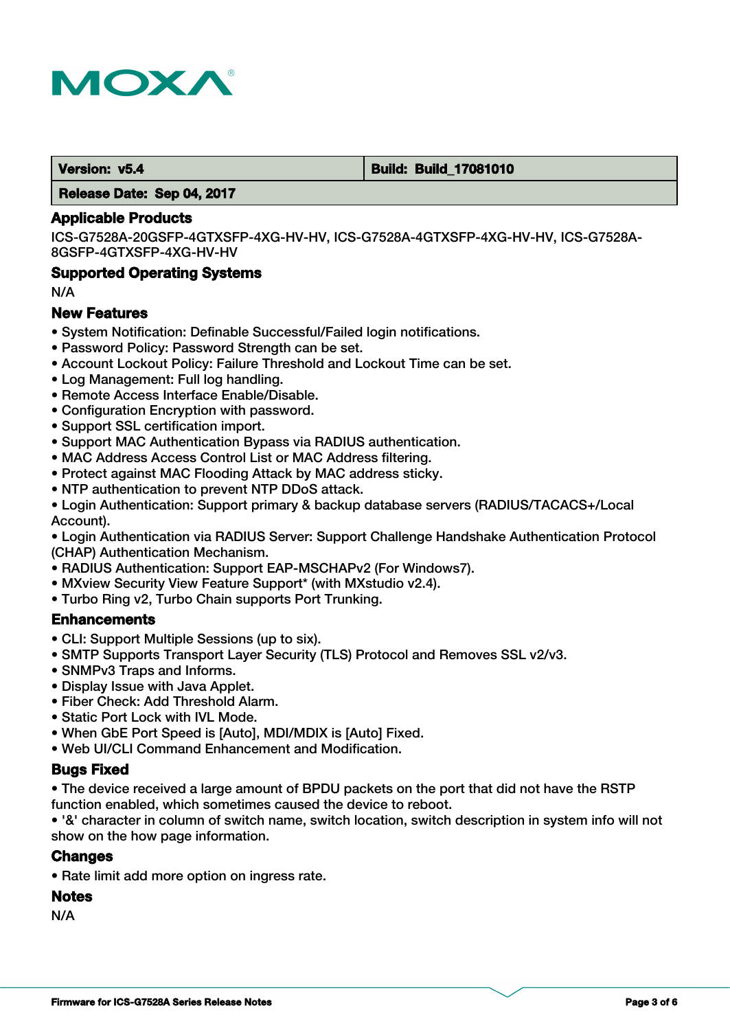

#### **Version: v5.4 Build: Build: Build: 17081010**

 **Release Date: Sep 04, 2017**

#### **Applicable Products**

ICS-G7528A-20GSFP-4GTXSFP-4XG-HV-HV, ICS-G7528A-4GTXSFP-4XG-HV-HV, ICS-G7528A-8GSFP-4GTXSFP-4XG-HV-HV

#### **Supported Operating Systems**

N/A

#### **New Features**

- System Notification: Definable Successful/Failed login notifications.
- Password Policy: Password Strength can be set.
- Account Lockout Policy: Failure Threshold and Lockout Time can be set.
- Log Management: Full log handling.
- Remote Access Interface Enable/Disable.
- Configuration Encryption with password.
- Support SSL certification import.
- Support MAC Authentication Bypass via RADIUS authentication.
- MAC Address Access Control List or MAC Address filtering.
- Protect against MAC Flooding Attack by MAC address sticky.
- NTP authentication to prevent NTP DDoS attack.
- Login Authentication: Support primary & backup database servers (RADIUS/TACACS+/Local Account).

• Login Authentication via RADIUS Server: Support Challenge Handshake Authentication Protocol (CHAP) Authentication Mechanism.

- RADIUS Authentication: Support EAP-MSCHAPv2 (For Windows7).
- MXview Security View Feature Support\* (with MXstudio v2.4).
- Turbo Ring v2, Turbo Chain supports Port Trunking.

#### **Enhancements**

- CLI: Support Multiple Sessions (up to six).
- SMTP Supports Transport Layer Security (TLS) Protocol and Removes SSL v2/v3.
- SNMPv3 Traps and Informs.
- Display Issue with Java Applet.
- Fiber Check: Add Threshold Alarm.
- Static Port Lock with IVL Mode.
- When GbE Port Speed is [Auto], MDI/MDIX is [Auto] Fixed.
- Web UI/CLI Command Enhancement and Modification.

#### **Bugs Fixed**

• The device received a large amount of BPDU packets on the port that did not have the RSTP function enabled, which sometimes caused the device to reboot.

• '&' character in column of switch name, switch location, switch description in system info will not show on the how page information.

#### **Changes**

• Rate limit add more option on ingress rate.

#### **Notes**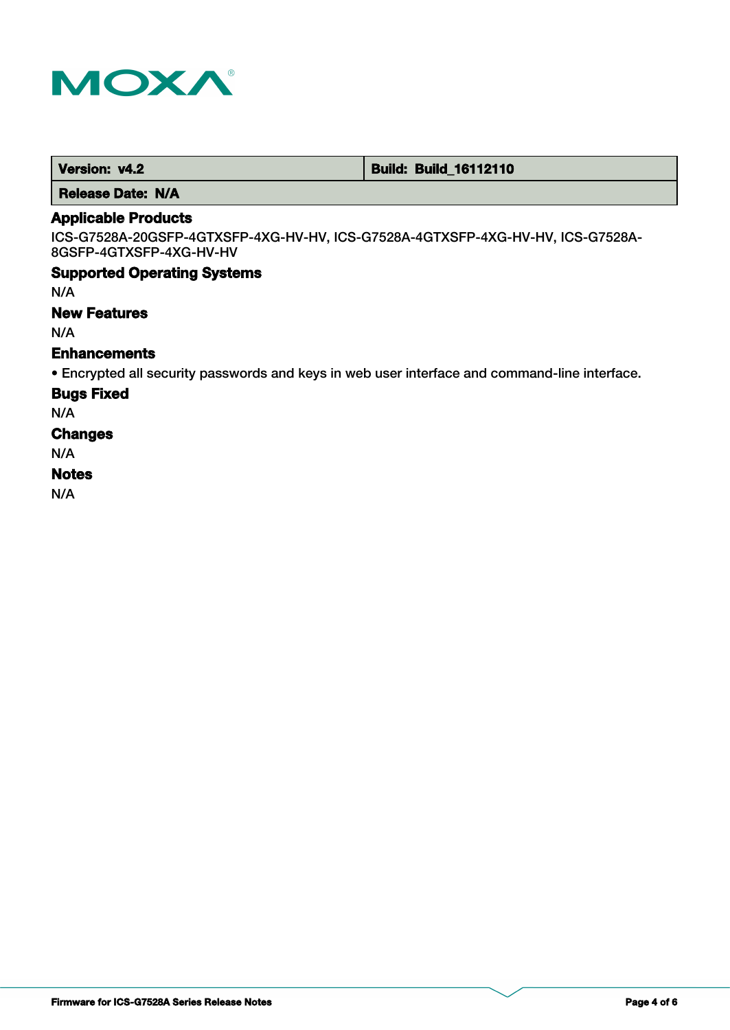

 **Version: v4.2 Build: Build: Build: 16112110** 

 **Release Date: N/A**

## **Applicable Products**

ICS-G7528A-20GSFP-4GTXSFP-4XG-HV-HV, ICS-G7528A-4GTXSFP-4XG-HV-HV, ICS-G7528A-8GSFP-4GTXSFP-4XG-HV-HV

#### **Supported Operating Systems**

N/A

#### **New Features**

N/A

## **Enhancements**

• Encrypted all security passwords and keys in web user interface and command-line interface.

#### **Bugs Fixed**

N/A

#### **Changes**

N/A

#### **Notes**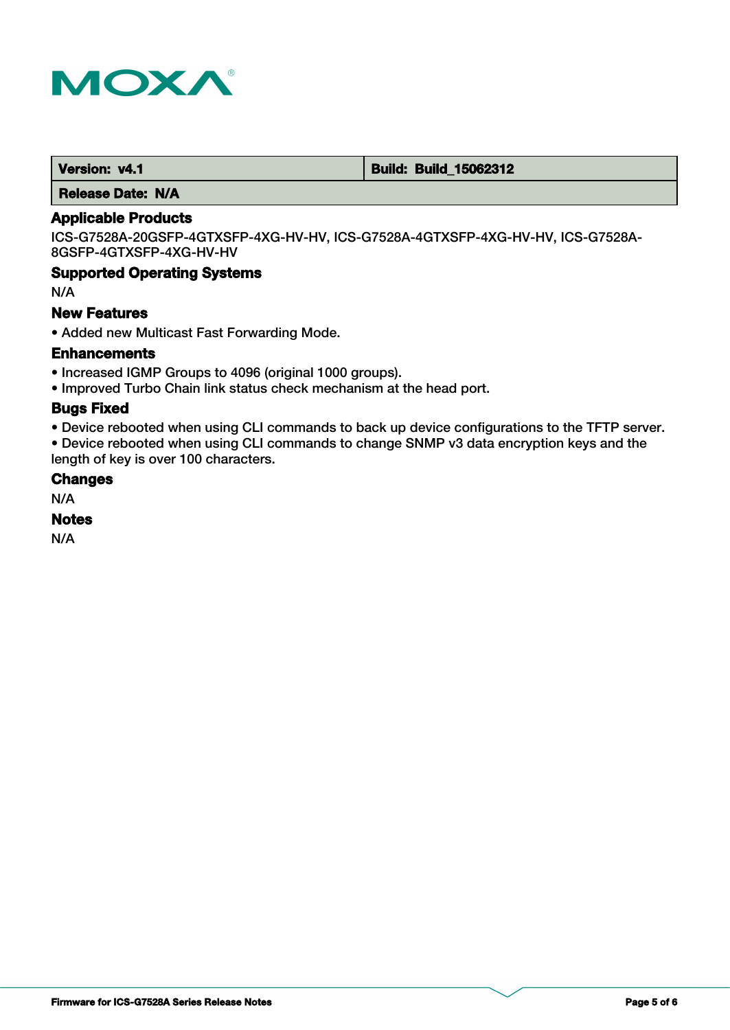

 **Version: v4.1 Build: Build: Build: 15062312** 

 **Release Date: N/A**

## **Applicable Products**

ICS-G7528A-20GSFP-4GTXSFP-4XG-HV-HV, ICS-G7528A-4GTXSFP-4XG-HV-HV, ICS-G7528A-8GSFP-4GTXSFP-4XG-HV-HV

### **Supported Operating Systems**

N/A

#### **New Features**

• Added new Multicast Fast Forwarding Mode.

#### **Enhancements**

- Increased IGMP Groups to 4096 (original 1000 groups).
- Improved Turbo Chain link status check mechanism at the head port.

#### **Bugs Fixed**

• Device rebooted when using CLI commands to back up device configurations to the TFTP server.

• Device rebooted when using CLI commands to change SNMP v3 data encryption keys and the length of key is over 100 characters.

### **Changes**

N/A

#### **Notes**